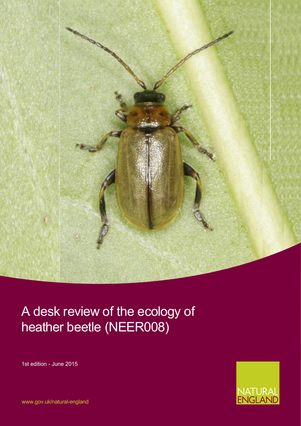

## A desk review of the ecology of heather beetle (NEER008)

1st edition - June 2015



www.gov.uk/natural-england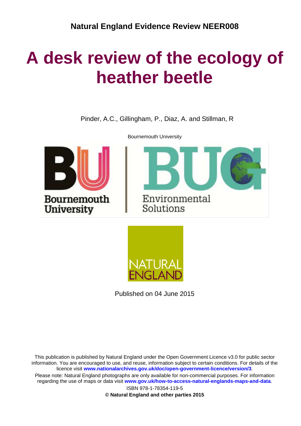# **A desk review of the ecology of heather beetle**

Pinder, A.C., Gillingham, P., Diaz, A. and Stillman, R



Bournemouth University





Published on 04 June 2015

This publication is published by Natural England under the Open Government Licence v3.0 for public sector information. You are encouraged to use, and reuse, information subject to certain conditions. For details of the licence visit **[www.nationalarchives.gov.uk/doc/open-government-licence/version/3](http://www.nationalarchives.gov.uk/doc/open-government-licence/version/3)**. Please note: Natural England photographs are only available for non-commercial purposes. For information regarding the use of maps or data visit **[www.gov.uk/how-to-access-natural-englands-maps-and-data](http://www.gov.uk/how-to-access-natural-englands-maps-and-data)**.

> ISBN 978-1-78354-119-5 **© Natural England and other parties 2015**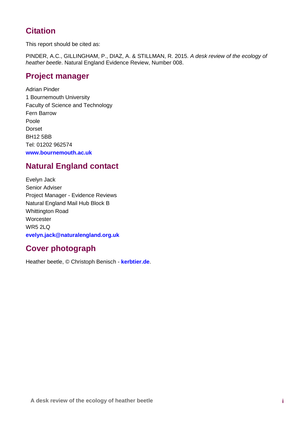### **Citation**

This report should be cited as:

PINDER, A.C., GILLINGHAM, P., DIAZ, A. & STILLMAN, R. 2015. *A desk review of the ecology of heather beetle*. Natural England Evidence Review, Number 008.

### **Project manager**

Adrian Pinder 1 Bournemouth University Faculty of Science and Technology Fern Barrow Poole Dorset BH12 5BB Tel: 01202 962574 **[www.bournemouth.ac.uk](http://www.bournemouth.ac.uk/)**

### **Natural England contact**

Evelyn Jack Senior Adviser Project Manager - Evidence Reviews Natural England Mail Hub Block B Whittington Road **Worcester** WR5 2LQ **[evelyn.jack@naturalengland.org.uk](mailto:evelyn.jack@naturalengland.org.uk)**

## **Cover photograph**

Heather beetle, © Christoph Benisch - **[kerbtier.de](http://kerbtier.de/)**.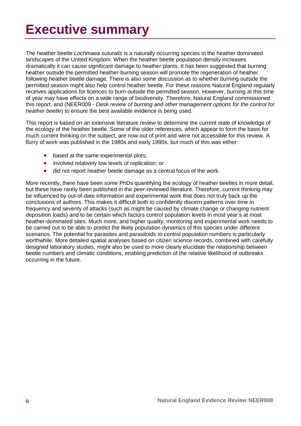# **Executive summary**

The heather beetle *Lochmaea suturalis* is a naturally occurring species in the heather dominated landscapes of the United Kingdom. When the heather beetle population density increases dramatically it can cause significant damage to heather plants. It has been suggested that burning heather outside the permitted heather-burning season will promote the regeneration of heather following heather beetle damage. There is also some discussion as to whether burning outside the permitted season might also help control heather beetle. For these reasons Natural England regularly receives applications for licences to burn outside the permitted season. However, burning at this time of year may have effects on a wide range of biodiversity. Therefore, Natural England commissioned this report, and (NEER009 - *Desk review of burning and other management options for the control for heather beetle*) to ensure the best available evidence is being used.

This report is based on an extensive literature review to determine the current state of knowledge of the ecology of the heather beetle. Some of the older references, which appear to form the basis for much current thinking on the subject, are now out of print and were not accessible for this review. A flurry of work was published in the 1980s and early 1990s, but much of this was either:

- based at the same experimental plots;
- involved relatively low levels of replication; or
- did not report heather beetle damage as a central focus of the work.

More recently, there have been some PhDs quantifying the ecology of heather beetles in more detail, but these have rarely been published in the peer-reviewed literature. Therefore, current thinking may be influenced by out-of-date information and experimental work that does not truly back up the conclusions of authors. This makes it difficult both to confidently discern patterns over time in frequency and severity of attacks (such as might be caused by climate change or changing nutrient deposition loads) and to be certain which factors control population levels in most year's at most heather-dominated sites. Much more, and higher quality, monitoring and experimental work needs to be carried out to be able to predict the likely population dynamics of this species under different scenarios. The potential for parasites and parasitoids to control population numbers is particularly worthwhile. More detailed spatial analyses based on citizen science records, combined with carefully designed laboratory studies, might also be used to more clearly elucidate the relationship between beetle numbers and climatic conditions, enabling prediction of the relative likelihood of outbreaks occurring in the future.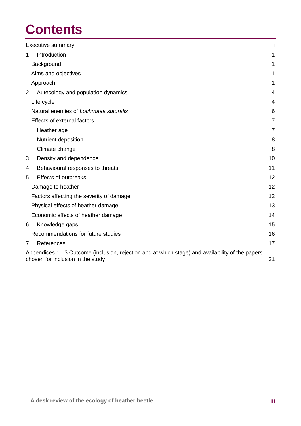# **Contents**

|                | ii.<br><b>Executive summary</b>                                                                                                              |                |  |  |  |
|----------------|----------------------------------------------------------------------------------------------------------------------------------------------|----------------|--|--|--|
| 1              | Introduction                                                                                                                                 | 1              |  |  |  |
|                | Background                                                                                                                                   | 1              |  |  |  |
|                | Aims and objectives                                                                                                                          | 1              |  |  |  |
|                | Approach                                                                                                                                     | 1              |  |  |  |
| 2              | Autecology and population dynamics                                                                                                           | 4              |  |  |  |
|                | Life cycle                                                                                                                                   | 4              |  |  |  |
|                | Natural enemies of Lochmaea suturalis                                                                                                        | 6              |  |  |  |
|                | Effects of external factors                                                                                                                  | 7              |  |  |  |
|                | Heather age                                                                                                                                  | $\overline{7}$ |  |  |  |
|                | Nutrient deposition                                                                                                                          | 8              |  |  |  |
|                | Climate change                                                                                                                               | 8              |  |  |  |
| 3              | Density and dependence                                                                                                                       | 10             |  |  |  |
| 4              | Behavioural responses to threats                                                                                                             | 11             |  |  |  |
| 5              | <b>Effects of outbreaks</b>                                                                                                                  | 12             |  |  |  |
|                | Damage to heather                                                                                                                            | 12             |  |  |  |
|                | Factors affecting the severity of damage                                                                                                     | 12             |  |  |  |
|                | Physical effects of heather damage                                                                                                           | 13             |  |  |  |
|                | Economic effects of heather damage                                                                                                           | 14             |  |  |  |
| 6              | Knowledge gaps                                                                                                                               | 15             |  |  |  |
|                | Recommendations for future studies                                                                                                           | 16             |  |  |  |
| $\overline{7}$ | References                                                                                                                                   | 17             |  |  |  |
|                | Appendices 1 - 3 Outcome (inclusion, rejection and at which stage) and availability of the papers<br>21<br>chosen for inclusion in the study |                |  |  |  |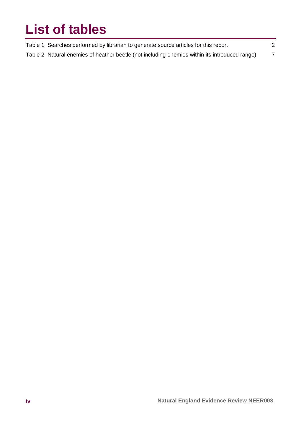# **List of tables**

| Table 1 Searches performed by librarian to generate source articles for this report           |  |
|-----------------------------------------------------------------------------------------------|--|
| Table 2 Natural enemies of heather beetle (not including enemies within its introduced range) |  |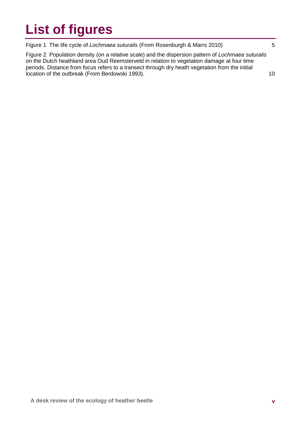# **List of figures**

Figure 1 The life cycle of *Lochmaea suturalis* (From Rosenburgh & Marrs 2010) 5

Figure 2 Population density (on a relative scale) and the dispersion pattern of *Lochmaea suturalis* on the Dutch heathland area Oud Reemsterveld in relation to vegetation damage at four time periods. Distance from focus refers to a transect through dry heath vegetation from the initial location of the outbreak (From Berdowski 1993). 10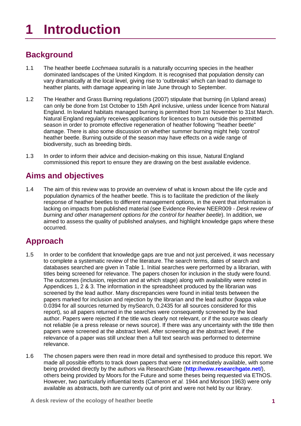# **1 Introduction**

## **Background**

- 1.1 The heather beetle *Lochmaea suturalis* is a naturally occurring species in the heather dominated landscapes of the United Kingdom. It is recognised that population density can vary dramatically at the local level, giving rise to 'outbreaks' which can lead to damage to heather plants, with damage appearing in late June through to September.
- 1.2 The Heather and Grass Burning regulations (2007) stipulate that burning (in Upland areas) can only be done from 1st October to 15th April inclusive, unless under licence from Natural England. In lowland habitats managed burning is permitted from 1st November to 31st March. Natural England regularly receives applications for licences to burn outside this permitted season in order to promote effective regeneration of heather following "heather beetle" damage. There is also some discussion on whether summer burning might help 'control' heather beetle. Burning outside of the season may have effects on a wide range of biodiversity, such as breeding birds.
- 1.3 In order to inform their advice and decision-making on this issue, Natural England commissioned this report to ensure they are drawing on the best available evidence.

### **Aims and objectives**

1.4 The aim of this review was to provide an overview of what is known about the life cycle and population dynamics of the heather beetle. This is to facilitate the prediction of the likely response of heather beetles to different management options, in the event that information is lacking on impacts from published material (see Evidence Review NEER009 - *Desk review of burning and other management options for the control for heather beetle*). In addition, we aimed to assess the quality of published analyses, and highlight knowledge gaps where these occurred.

### **Approach**

- 1.5 In order to be confident that knowledge gaps are true and not just perceived, it was necessary to complete a systematic review of the literature. The search terms, dates of search and databases searched are given in Table 1. Initial searches were performed by a librarian, with titles being screened for relevance. The papers chosen for inclusion in the study were found. The outcomes (inclusion, rejection and at which stage) along with availability were noted in Appendices 1, 2 & 3. The information in the spreadsheet produced by the librarian was screened by the lead author. Many discrepancies were found in initial tests between the papers marked for inclusion and rejection by the librarian and the lead author (kappa value 0.0394 for all sources returned by mySearch, 0.2435 for all sources considered for this report), so all papers returned in the searches were consequently screened by the lead author. Papers were rejected if the title was clearly not relevant, or if the source was clearly not reliable (ie a press release or news source). If there was any uncertainty with the title then papers were screened at the abstract level. After screening at the abstract level, if the relevance of a paper was still unclear then a full text search was performed to determine relevance.
- 1.6 The chosen papers were then read in more detail and synthesised to produce this report. We made all possible efforts to track down papers that were not immediately available, with some being provided directly by the authors via ResearchGate (**<http://www.researchgate.net/>**), others being provided by Moors for the Future and some theses being requested via EThOS. However, two particularly influential texts (Cameron *et al.* 1944 and Morison 1963) were only available as abstracts, both are currently out of print and were not held by our library.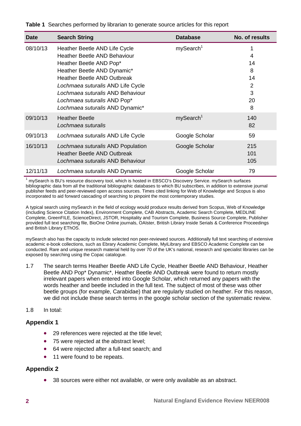#### **Table 1** Searches performed by librarian to generate source articles for this report

| <b>Date</b> | <b>Search String</b>                                                                                                                                                                                                                                                         | <b>Database</b>       | No. of results                                       |
|-------------|------------------------------------------------------------------------------------------------------------------------------------------------------------------------------------------------------------------------------------------------------------------------------|-----------------------|------------------------------------------------------|
| 08/10/13    | Heather Beetle AND Life Cycle<br><b>Heather Beetle AND Behaviour</b><br>Heather Beetle AND Pop*<br>Heather Beetle AND Dynamic*<br><b>Heather Beetle AND Outbreak</b><br>Lochmaea suturalis AND Life Cycle<br>Lochmaea suturalis AND Behaviour<br>Lochmaea suturalis AND Pop* | mySearch <sup>1</sup> | 1<br>4<br>14<br>8<br>14<br>$\overline{2}$<br>3<br>20 |
|             | Lochmaea suturalis AND Dynamic*                                                                                                                                                                                                                                              |                       | 8                                                    |
| 09/10/13    | <b>Heather Beetle</b><br>Lochmaea suturalis                                                                                                                                                                                                                                  | mySearch <sup>1</sup> | 140<br>82                                            |
| 09/10/13    | Lochmaea suturalis AND Life Cycle                                                                                                                                                                                                                                            | Google Scholar        | 59                                                   |
| 16/10/13    | Lochmaea suturalis AND Population<br><b>Heather Beetle AND Outbreak</b><br>Lochmaea suturalis AND Behaviour                                                                                                                                                                  | Google Scholar        | 215<br>101<br>105                                    |
| 12/11/13    | Lochmaea suturalis AND Dynamic                                                                                                                                                                                                                                               | Google Scholar        | 79                                                   |

mySearch is BU's resource discovery tool, which is hosted in EBSCO's Discovery Service. mySearch surfaces bibliographic data from all the traditional bibliographic databases to which BU subscribes, in addition to extensive journal publisher feeds and peer-reviewed open access sources. Times cited linking for Web of Knowledge and Scopus is also incorporated to aid forward cascading of searching to pinpoint the most contemporary studies.

A typical search using mySearch in the field of ecology would produce results derived from Scopus, Web of Knowledge (including Science Citation Index), Environment Complete, CAB Abstracts, Academic Search Complete, MEDLINE Complete, GreenFILE, ScienceDirect, JSTOR, Hospitality and Tourism Complete, Business Source Complete, Publisher provided full text searching file, BioOne Online journals, OAIster, British Library Inside Serials & Conference Proceedings and British Library EThOS.

mySearch also has the capacity to include selected non peer-reviewed sources. Additionally full text searching of extensive academic e-book collections, such as Ebrary Academic Complete, MyiLibrary and EBSCO Academic Complete can be conducted. Rare and unique research material held by over 70 of the UK's national, research and specialist libraries can be exposed by searching using the Copac catalogue.

1.7 The search terms Heather Beetle AND Life Cycle, Heather Beetle AND Behaviour, Heather Beetle AND Pop\* Dynamic\*, Heather Beetle AND Outbreak were found to return mostly irrelevant papers when entered into Google Scholar, which returned any papers with the words heather and beetle included in the full text. The subject of most of these was other beetle groups (for example, Carabidae) that are regularly studied on heather. For this reason, we did not include these search terms in the google scholar section of the systematic review.

#### 1.8 In total:

#### **Appendix 1**

- 29 references were rejected at the title level;
- 75 were rejected at the abstract level;
- 64 were rejected after a full-text search; and
- 11 were found to be repeats.

#### **Appendix 2**

• 38 sources were either not available, or were only available as an abstract.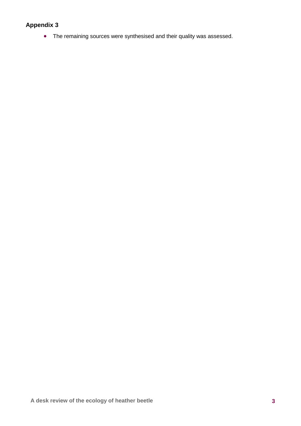#### **Appendix 3**

• The remaining sources were synthesised and their quality was assessed.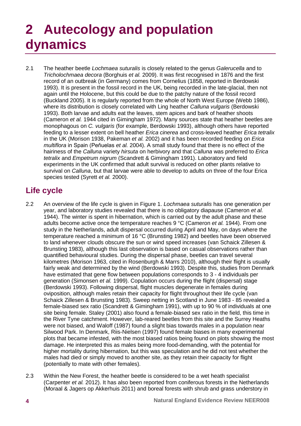## **2 Autecology and population dynamics**

2.1 The heather beetle *Lochmaea suturalis* is closely related to the genus *Galerucella* and to *Tricholochmaea decora* (Borghuis *et al.* 2009). It was first recognised in 1876 and the first record of an outbreak (in Germany) comes from Cornelius (1858, reported in Berdowski 1993). It is present in the fossil record in the UK, being recorded in the late-glacial, then not again until the Holocene, but this could be due to the patchy nature of the fossil record (Buckland 2005). It is regularly reported from the whole of North West Europe (Webb 1986), where its distribution is closely correlated with Ling heather *Calluna vulgaris* (Berdowski 1993). Both larvae and adults eat the leaves, stem apices and bark of heather shoots (Cameron *et al.* 1944 cited in Gimingham 1972). Many sources state that heather beetles are monophagous on *C. vulgaris* (for example, Berdowski 1993), although others have reported feeding to a lesser extent on bell heather *Erica cinerea* and cross-leaved heather *Erica tetralix* in the UK (Morison 1938, Pakeman *et al.* 2002) and it has been recorded feeding on *Erica multiflora* in Spain (Peňuelas *et al.* 2004). A small study found that there is no effect of the hairiness of the *Calluna* variety *hirsuta* on herbivory and that *Calluna* was preferred to *Erica tetralix* and *Empetrum nigrum* (Scandrett & Gimingham 1991). Laboratory and field experiments in the UK confirmed that adult survival is reduced on other plants relative to survival on *Calluna*, but that larvae were able to develop to adults on three of the four Erica species tested (Syrett *et al.* 2000).

## **Life cycle**

- 2.2 An overview of the life cycle is given in Figure 1. *Lochmaea suturalis* has one generation per year, and laboratory studies revealed that there is no obligatory diapause (Cameron *et al.* 1944). The winter is spent in hibernation, which is carried out by the adult phase and these adults become active once the temperature reaches 9 °C (Cameron *et al.* 1944). From one study in the Netherlands, adult dispersal occurred during April and May, on days where the temperature reached a minimum of 16 °C (Brunsting 1982) and beetles have been observed to land whenever clouds obscure the sun or wind speed increases (van Schaick Zillesen & Brunsting 1983), although this last observation is based on casual observations rather than quantified behavioural studies. During the dispersal phase, beetles can travel several kilometres (Morison 1963, cited in Rosenburgh & Marrs 2010), although their flight is usually fairly weak and determined by the wind (Berdowski 1993). Despite this, studies from Denmark have estimated that gene flow between populations corresponds to 3 - 4 individuals per generation (Simonsen *et al.* 1999). Copulation occurs during the flight (dispersal) stage (Berdowski 1993). Following dispersal, flight muscles degenerate in females during oviposition, although males retain their capacity for flight throughout their life cycle (van Schaick Zillesen & Brunsting 1983). Sweep netting in Scotland in June 1983 - 85 revealed a female-biased sex ratio (Scandrett & Gimingham 1991), with up to 90 % of individuals at one site being female. Staley (2001) also found a female-biased sex ratio in the field, this time in the River Tyne catchment. However, lab-reared beetles from this site and the Surrey Heaths were not biased, and Waloff (1987) found a slight bias towards males in a population near Silwood Park. In Denmark, Riis-Nielsen (1997) found female biases in many experimental plots that became infested, with the most biased ratios being found on plots showing the most damage. He interpreted this as males being more food-demanding, with the potential for higher mortality during hibernation, but this was speculation and he did not test whether the males had died or simply moved to another site, as they retain their capacity for flight (potentially to mate with other females).
- 2.3 Within the New Forest, the heather beetle is considered to be a wet heath specialist (Carpenter *et al.* 2012). It has also been reported from coniferous forests in the Netherlands (Moraal & Jagers op Akkerhuis 2011) and boreal forests with shrub and grass understory in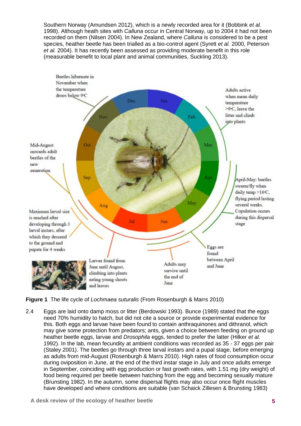Southern Norway (Amundsen 2012), which is a newly recorded area for it (Bobbink *et al.* 1998). Although heath sites with *Calluna* occur in Central Norway, up to 2004 it had not been recorded on them (Nilsen 2004). In New Zealand, where *Calluna* is considered to be a pest species, heather beetle has been trialled as a bio-control agent (Syrett *et al.* 2000, Peterson *et al.* 2004). It has recently been assessed as providing moderate benefit in this role (measurable benefit to local plant and animal communities, Suckling 2013).



**Figure 1** The life cycle of *Lochmaea suturalis* (From Rosenburgh & Marrs 2010)

2.4 Eggs are laid onto damp moss or litter (Berdowski 1993). Bunce (1989) stated that the eggs need 70% humidity to hatch, but did not cite a source or provide experimental evidence for this. Both eggs and larvae have been found to contain anthraquinones and dithranol, which may give some protection from predators; ants, given a choice between feeding on ground up heather beetle eggs, larvae and *Drosophila* eggs, tended to prefer the latter (Hilker *et al.* 1992). In the lab, mean fecundity at ambient conditions was recorded as 35 - 37 eggs per pair (Staley 2001). The beetles go through three larval instars and a pupal stage, before emerging as adults from mid-August (Rosenburgh & Marrs 2010). High rates of food consumption occur during oviposition in June, at the end of the third instar stage in July and once adults emerge in September, coinciding with egg production or fast growth rates, with 1.51 mg (dry weight) of food being required per beetle between hatching from the egg and becoming sexually mature (Brunsting 1982). In the autumn, some dispersal flights may also occur once flight muscles have developed and where conditions are suitable (van Schaick Zillesen & Brunsting 1983)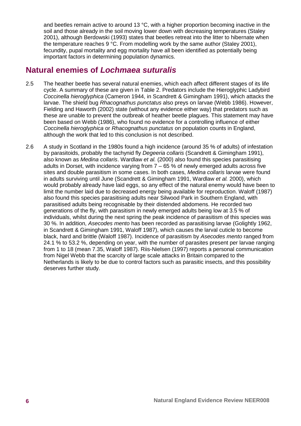and beetles remain active to around 13 °C, with a higher proportion becoming inactive in the soil and those already in the soil moving lower down with decreasing temperatures (Staley 2001), although Berdowski (1993) states that beetles retreat into the litter to hibernate when the temperature reaches 9 °C. From modelling work by the same author (Staley 2001), fecundity, pupal mortality and egg mortality have all been identified as potentially being important factors in determining population dynamics.

### **Natural enemies of** *Lochmaea suturalis*

- 2.5 The heather beetle has several natural enemies, which each affect different stages of its life cycle. A summary of these are given in Table 2. Predators include the Hieroglyphic Ladybird *Coccinella hieroglyphica* (Cameron 1944, in Scandrett & Gimingham 1991), which attacks the larvae. The shield bug *Rhacognathus punctatus* also preys on larvae (Webb 1986). However, Fielding and Haworth (2002) state (without any evidence either way) that predators such as these are unable to prevent the outbreak of heather beetle plagues. This statement may have been based on Webb (1986), who found no evidence for a controlling influence of either *Coccinella hieroglyphica* or *Rhacognathus punctatus* on population counts in England, although the work that led to this conclusion is not described.
- 2.6 A study in Scotland in the 1980s found a high incidence (around 35 % of adults) of infestation by parasitoids, probably the tachynid fly *Degeeria collaris* (Scandrett & Gimingham 1991), also known as *Medina collaris*. Wardlaw *et al.* (2000) also found this species parasitising adults in Dorset, with incidence varying from  $7 - 65$  % of newly emerged adults across five sites and double parasitism in some cases. In both cases, *Medina collaris* larvae were found in adults surviving until June (Scandrett & Gimingham 1991, Wardlaw *et al.* 2000), which would probably already have laid eggs, so any effect of the natural enemy would have been to limit the number laid due to decreased energy being available for reproduction. Waloff (1987) also found this species parasitising adults near Silwood Park in Southern England, with parasitised adults being recognisable by their distended abdomens. He recorded two generations of the fly, with parasitism in newly emerged adults being low at 3.5 % of individuals, whilst during the next spring the peak incidence of parasitism of this species was 30 %. In addition, *Asecodes mento* has been recorded as parasitising larvae (Golightly 1962, in Scandrett & Gimingham 1991, Waloff 1987), which causes the larval cuticle to become black, hard and brittle (Waloff 1987). Incidence of parasitism by *Asecodes mento* ranged from 24.1 % to 53.2 %, depending on year, with the number of parasites present per larvae ranging from 1 to 18 (mean 7.35, Waloff 1987). Riis-Nielsen (1997) reports a personal communication from Nigel Webb that the scarcity of large scale attacks in Britain compared to the Netherlands is likely to be due to control factors such as parasitic insects, and this possibility deserves further study.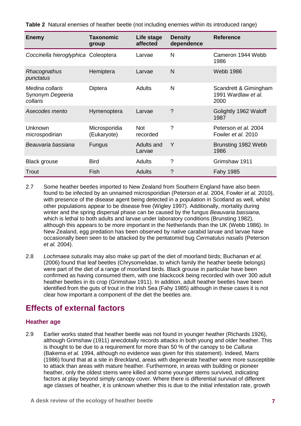**Table 2** Natural enemies of heather beetle (not including enemies within its introduced range)

| <b>Enemy</b>                                    | <b>Taxonomic</b><br>group    | Life stage<br>affected | <b>Density</b><br>dependence | <b>Reference</b>                                     |
|-------------------------------------------------|------------------------------|------------------------|------------------------------|------------------------------------------------------|
| Coccinella hieroglyphica Coleoptera             |                              | Larvae                 | N                            | Cameron 1944 Webb<br>1986                            |
| Rhacognathus<br>punctatus                       | Hemiptera                    | Larvae                 | N                            | <b>Webb 1986</b>                                     |
| Medina collaris<br>Synonym Degeeria<br>collaris | Diptera                      | <b>Adults</b>          | N                            | Scandrett & Gimingham<br>1991 Wardlaw et al.<br>2000 |
| Asecodes mento                                  | Hymenoptera                  | Larvae                 | ?                            | Golightly 1962 Waloff<br>1987                        |
| Unknown<br>microspodirian                       | Microsporidia<br>(Eukaryote) | <b>Not</b><br>recorded | ?                            | Peterson et al. 2004<br>Fowler et al. 2010           |
| Beauvaria bassiana                              | <b>Fungus</b>                | Adults and<br>Larvae   | Y                            | Brunsting 1982 Webb<br>1986                          |
| <b>Black grouse</b>                             | <b>Bird</b>                  | <b>Adults</b>          | $\gamma$                     | Grimshaw 1911                                        |
| Trout                                           | <b>Fish</b>                  | <b>Adults</b>          | ?                            | Fahy 1985                                            |

- 2.7 Some heather beetles imported to New Zealand from Southern England have also been found to be infected by an unnamed microsporidian (Peterson *et al.* 2004, Fowler *et al.* 2010), with presence of the disease agent being detected in a population in Scotland as well, whilst other populations appear to be disease free (Wigley 1997). Additionally, mortality during winter and the spring dispersal phase can be caused by the fungus *Beauvaria bassiana*, which is lethal to both adults and larvae under laboratory conditions (Brunsting 1982), although this appears to be more important in the Netherlands than the UK (Webb 1986). In New Zealand, egg predation has been observed by native carabid larvae and larvae have occasionally been seen to be attacked by the pentatomid bug *Cermatulus nasalis* (Peterson *et al.* 2004).
- 2.8 *Lochmaea suturalis* may also make up part of the diet of moorland birds; Buchanan *et al.* (2006) found that leaf beetles (Chrysomelidae, to which family the heather beetle belongs) were part of the diet of a range of moorland birds. Black grouse in particular have been confirmed as having consumed them, with one blackcock being recorded with over 300 adult heather beetles in its crop (Grimshaw 1911). In addition, adult heather beetles have been identified from the guts of trout in the Irish Sea (Fahy 1985) although in these cases it is not clear how important a component of the diet the beetles are.

### **Effects of external factors**

#### **Heather age**

2.9 Earlier works stated that heather beetle was not found in younger heather (Richards 1926), although Grimshaw (1911) anecdotally records attacks in both young and older heather. This is thought to be due to a requirement for more than 50 % of the canopy to be *Calluna* (Bakema *et al.* 1994, although no evidence was given for this statement). Indeed, Marrs (1986) found that at a site in Breckland, areas with degenerate heather were more susceptible to attack than areas with mature heather. Furthermore, in areas with building or pioneer heather, only the oldest stems were killed and some younger stems survived, indicating factors at play beyond simply canopy cover. Where there is differential survival of different age classes of heather, it is unknown whether this is due to the initial infestation rate, growth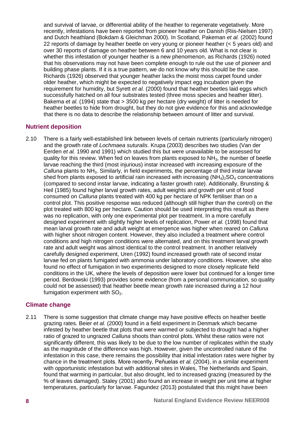and survival of larvae, or differential ability of the heather to regenerate vegetatively. More recently, infestations have been reported from pioneer heather on Danish (Riis-Nielsen 1997) and Dutch heathland (Bokdam & Gleichman 2000). In Scotland, Pakeman *et al.* (2002) found 22 reports of damage by heather beetle on very young or pioneer heather (< 5 years old) and over 30 reports of damage on heather between 6 and 10 years old. What is not clear is whether this infestation of younger heather is a new phenomenon, as Richards (1926) noted that his observations may not have been complete enough to rule out the use of pioneer and building phase plants. If it is a true pattern, we do not know why this should be the case. Richards (1926) observed that younger heather lacks the moist moss carpet found under older heather, which might be expected to negatively impact egg incubation given the requirement for humidity, but Syrett *et al.* (2000) found that heather beetles laid eggs which successfully hatched on all four substrates tested (three moss species and heather litter). Bakema *et al.* (1994) state that > 3500 kg per hectare (dry weight) of litter is needed for heather beetles to hide from drought, but they do not give evidence for this and acknowledge that there is no data to describe the relationship between amount of litter and survival.

#### **Nutrient deposition**

2.10 There is a fairly well-established link between levels of certain nutrients (particularly nitrogen) and the growth rate of *Lochmaea suturalis*. Krupa (2003) describes two studies (Van der Eerden *et al.* 1990 and 1991) which studied this but were unavailable to be assessed for quality for this review. When fed on leaves from plants exposed to  $NH<sub>3</sub>$ , the number of beetle larvae reaching the third (most injurious) instar increased with increasing exposure of the *Calluna* plants to NH3. Similarly, in field experiments, the percentage of third instar larvae shed from plants exposed to artificial rain increased with increasing  $(NH_4)_2SO_4$  concentrations (compared to second instar larvae, indicating a faster growth rate). Additionally, Brunsting & Heil (1985) found higher larval growth rates, adult weights and growth per unit of food consumed on *Calluna* plants treated with 400 kg per hectare of NPK fertiliser than on a control plot. This positive response was reduced (although still higher than the control) on the plot treated with 800 kg per hectare. Caution should be used interpreting this result as there was no replication, with only one experimental plot per treatment. In a more carefully designed experiment with slightly higher levels of replication, Power *et al.* (1998) found that mean larval growth rate and adult weight at emergence was higher when reared on *Calluna*  with higher shoot nitrogen content. However, they also included a treatment where control conditions and high nitrogen conditions were alternated, and on this treatment larval growth rate and adult weight was almost identical to the control treatment. In another relatively carefully designed experiment, Uren (1992) found increased growth rate of second instar larvae fed on plants fumigated with ammonia under laboratory conditions. However, she also found no effect of fumigation in two experiments designed to more closely replicate field conditions in the UK, where the levels of deposition were lower but continued for a longer time period. Berdowski (1993) provides some evidence (from a personal communication, so quality could not be assessed) that heather beetle mean growth rate increased during a 12 hour fumigation experiment with  $SO<sub>2</sub>$ .

#### **Climate change**

2.11 There is some suggestion that climate change may have positive effects on heather beetle grazing rates. Beier *et al.* (2000) found in a field experiment in Denmark which became infested by heather beetle that plots that were warmed or subjected to drought had a higher ratio of grazed to ungrazed *Calluna* shoots than control plots. Whilst these ratios were not significantly different, this was likely to be due to the low number of replicates within the study as the magnitude of the difference was high. However, given the uncontrolled nature of the infestation in this case, there remains the possibility that initial infestation rates were higher by chance in the treatment plots. More recently, Peňuelas *et al.* (2004), in a similar experiment with opportunistic infestation but with additional sites in Wales, The Netherlands and Spain, found that warming in particular, but also drought, led to increased grazing (measured by the % of leaves damaged). Staley (2001) also found an increase in weight per unit time at higher temperatures, particularly for larvae. Fagundez (2013) postulated that this might have been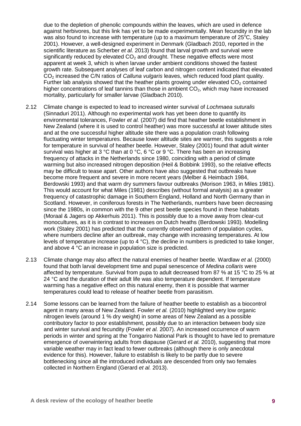due to the depletion of phenolic compounds within the leaves, which are used in defence against herbivores, but this link has yet to be made experimentally. Mean fecundity in the lab was also found to increase with temperature (up to a maximum temperature of  $25^{\circ}$ C, Staley 2001). However, a well-designed experiment in Denmark (Gladbach 2010, reported in the scientific literature as Scherber *et al.* 2013) found that larval growth and survival were significantly reduced by elevated  $CO<sub>2</sub>$  and drought. These negative effects were most apparent at week 3, which is when larvae under ambient conditions showed the fastest growth rate. Subsequent analyses of leaf carbon and nitrogen content indicated that elevated CO2 increased the C/N ratios of *Calluna vulgaris* leaves, which reduced food plant quality. Further lab analysis showed that the heather plants growing under elevated  $CO<sub>2</sub>$  contained higher concentrations of leaf tannins than those in ambient  $CO<sub>2</sub>$ , which may have increased mortality, particularly for smaller larvae (Gladbach 2010).

- 2.12 Climate change is expected to lead to increased winter survival of *Lochmaea suturalis* (Sinnaduri 2011). Although no experimental work has yet been done to quantify its environmental tolerances, Fowler *et al.* (2007) did find that heather beetle establishment in New Zealand (where it is used to control heather) was more successful at lower altitude sites and at the one successful higher altitude site there was a population crash following fluctuating winter temperatures. Because lower altitude sites are warmer, this suggests a role for temperature in survival of heather beetle. However, Staley (2001) found that adult winter survival was higher at 3 °C than at 0 °C, 6 °C or 9 °C. There has been an increasing frequency of attacks in the Netherlands since 1980, coinciding with a period of climate warming but also increased nitrogen deposition (Heil & Bobbink 1993), so the relative effects may be difficult to tease apart. Other authors have also suggested that outbreaks have become more frequent and severe in more recent years (Melber & Heimbach 1984, Berdowski 1993) and that warm dry summers favour outbreaks (Morison 1963, in Miles 1981). This would account for what Miles (1981) describes (without formal analysis) as a greater frequency of catastrophic damage in Southern England, Holland and North Germany than in Scotland. However, in coniferous forests in The Netherlands, numbers have been decreasing since the 1980s, in common with the 9 other pest beetle species found in these habitats (Moraal & Jagers op Akkerhuis 2011). This is possibly due to a move away from clear-cut monocultures, as it is in contrast to increases on Dutch heaths (Berdowski 1993). Modelling work (Staley 2001) has predicted that the currently observed pattern of population cycles, where numbers decline after an outbreak, may change with increasing temperatures. At low levels of temperature increase (up to 4 °C), the decline in numbers is predicted to take longer, and above 4 °C an increase in population size is predicted.
- 2.13 Climate change may also affect the natural enemies of heather beetle. Wardlaw *et al.* (2000) found that both larval development time and pupal senescence of *Medina collaris* were affected by temperature. Survival from pupa to adult decreased from 87 % at 15 °C to 25 % at 24 °C and the duration of their adult life was also temperature dependent. If temperature warming has a negative effect on this natural enemy, then it is possible that warmer temperatures could lead to release of heather beetle from parasitism.
- 2.14 Some lessons can be learned from the failure of heather beetle to establish as a biocontrol agent in many areas of New Zealand. Fowler *et al.* (2010) highlighted very low organic nitrogen levels (around 1 % dry weight) in some areas of New Zealand as a possible contributory factor to poor establishment, possibly due to an interaction between body size and winter survival and fecundity (Fowler *et al.* 2007). An increased occurrence of warm periods in winter and spring at the Tongariro National Park is thought to have led to premature emergence of overwintering adults from diapause (Gerard *et al.* 2010), suggesting that more variable weather may in fact lead to fewer outbreaks (although there is only anecdotal evidence for this). However, failure to establish is likely to be partly due to severe bottlenecking since all the introduced individuals are descended from only two females collected in Northern England (Gerard *et al.* 2013).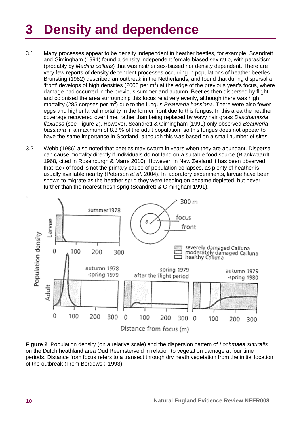# **3 Density and dependence**

- 3.1 Many processes appear to be density independent in heather beetles, for example, Scandrett and Gimingham (1991) found a density independent female biased sex ratio, with parasitism (probably by *Medina collaris*) that was neither sex-biased nor density dependent. There are very few reports of density dependent processes occurring in populations of heather beetles. Brunsting (1982) described an outbreak in the Netherlands, and found that during dispersal a "front' develops of high densities (2000 per  $m^2$ ) at the edge of the previous year's focus, where damage had occurred in the previous summer and autumn. Beetles then dispersed by flight and colonised the area surrounding this focus relatively evenly, although there was high mortality (285 corpses per m<sup>2</sup>) due to the fungus *Beauveria bassiana*. There were also fewer eggs and higher larval mortality in the former front due to this fungus. In this area the heather coverage recovered over time, rather than being replaced by wavy hair grass *Deschampsia flexuosa* (see Figure 2). However, Scandrett & Gimingham (1991) only observed *Beauveria bassiana* in a maximum of 8.3 % of the adult population, so this fungus does not appear to have the same importance in Scotland, although this was based on a small number of sites.
- 3.2 Webb (1986) also noted that beetles may swarm in years when they are abundant. Dispersal can cause mortality directly if individuals do not land on a suitable food source (Blankwaardt 1968, cited in Rosenburgh & Marrs 2010). However, in New Zealand it has been observed that lack of food is not the primary cause of population collapses, as plenty of heather is usually available nearby (Peterson *et al.* 2004). In laboratory experiments, larvae have been shown to migrate as the heather sprig they were feeding on became depleted, but never further than the nearest fresh sprig (Scandrett & Gimingham 1991).



**Figure 2** Population density (on a relative scale) and the dispersion pattern of *Lochmaea suturalis* on the Dutch heathland area Oud Reemsterveld in relation to vegetation damage at four time periods. Distance from focus refers to a transect through dry heath vegetation from the initial location of the outbreak (From Berdowski 1993).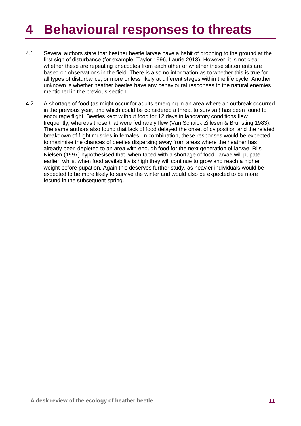## **4 Behavioural responses to threats**

- 4.1 Several authors state that heather beetle larvae have a habit of dropping to the ground at the first sign of disturbance (for example, Taylor 1996, Laurie 2013). However, it is not clear whether these are repeating anecdotes from each other or whether these statements are based on observations in the field. There is also no information as to whether this is true for all types of disturbance, or more or less likely at different stages within the life cycle. Another unknown is whether heather beetles have any behavioural responses to the natural enemies mentioned in the previous section.
- 4.2 A shortage of food (as might occur for adults emerging in an area where an outbreak occurred in the previous year, and which could be considered a threat to survival) has been found to encourage flight. Beetles kept without food for 12 days in laboratory conditions flew frequently, whereas those that were fed rarely flew (Van Schaick Zillesen & Brunsting 1983). The same authors also found that lack of food delayed the onset of oviposition and the related breakdown of flight muscles in females. In combination, these responses would be expected to maximise the chances of beetles dispersing away from areas where the heather has already been depleted to an area with enough food for the next generation of larvae. Riis-Nielsen (1997) hypothesised that, when faced with a shortage of food, larvae will pupate earlier, whilst when food availability is high they will continue to grow and reach a higher weight before pupation. Again this deserves further study, as heavier individuals would be expected to be more likely to survive the winter and would also be expected to be more fecund in the subsequent spring.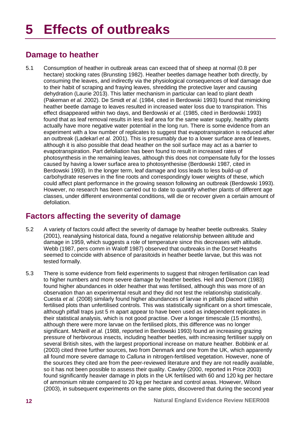### **Damage to heather**

5.1 Consumption of heather in outbreak areas can exceed that of sheep at normal (0.8 per hectare) stocking rates (Brunsting 1982). Heather beetles damage heather both directly, by consuming the leaves, and indirectly via the physiological consequences of leaf damage due to their habit of scraping and fraying leaves, shredding the protective layer and causing dehydration (Laurie 2013). This latter mechanism in particular can lead to plant death (Pakeman *et al.* 2002). De Smidt *et al.* (1984, cited in Berdowski 1993) found that mimicking heather beetle damage to leaves resulted in increased water loss due to transpiration. This effect disappeared within two days, and Berdowski *et al.* (1985, cited in Berdowski 1993) found that as leaf removal results in less leaf area for the same water supply, healthy plants actually have more negative water potential in the long run. There is some evidence from an experiment with a low number of replicates to suggest that evapotranspiration is reduced after an outbreak (Ladekarl *et al.* 2001). This is presumably due to a lower surface area of leaves, although it is also possible that dead heather on the soil surface may act as a barrier to evapotranspiration. Part defoliation has been found to result in increased rates of photosynthesis in the remaining leaves, although this does not compensate fully for the losses caused by having a lower surface area to photosynthesise (Berdowski 1987, cited in Berdowski 1993). In the longer term, leaf damage and loss leads to less build-up of carbohydrate reserves in the fine roots and correspondingly lower weights of these, which could affect plant performance in the growing season following an outbreak (Berdowski 1993). However, no research has been carried out to date to quantify whether plants of different age classes, under different environmental conditions, will die or recover given a certain amount of defoliation.

### **Factors affecting the severity of damage**

- 5.2 A variety of factors could affect the severity of damage by heather beetle outbreaks. Staley (2001), reanalysing historical data, found a negative relationship between altitude and damage in 1959, which suggests a role of temperature since this decreases with altitude. Webb (1987, pers comm in Waloff 1987) observed that outbreaks in the Dorset Heaths seemed to coincide with absence of parasitoids in heather beetle larvae, but this was not tested formally.
- 5.3 There is some evidence from field experiments to suggest that nitrogen fertilisation can lead to higher numbers and more severe damage by heather beetles. Heil and Diemont (1983) found higher abundances in older heather that was fertilised, although this was more of an observation than an experimental result and they did not test the relationship statistically. Cuesta *et al.* (2008) similarly found higher abundances of larvae in pitfalls placed within fertilised plots than unfertilised controls. This was statistically significant on a short timescale, although pitfall traps just 5 m apart appear to have been used as independent replicates in their statistical analysis, which is not good practise. Over a longer timescale (15 months), although there were more larvae on the fertilised plots, this difference was no longer significant. McNeill *et al.* (1988, reported in Berdowski 1993) found an increasing grazing pressure of herbivorous insects, including heather beetles, with increasing fertiliser supply on several British sites, with the largest proportional increase on mature heather. Bobbink *et al.* (2003) cited three further sources, two from Denmark and one from the UK, which apparently all found more severe damage to *Calluna* in nitrogen-fertilised vegetation. However, none of the sources they cited are from the peer-reviewed literature and they are not readily available, so it has not been possible to assess their quality. Cawley (2000, reported in Price 2003) found significantly heavier damage in plots in the UK fertilised with 60 and 120 kg per hectare of ammonium nitrate compared to 20 kg per hectare and control areas. However, Wilson (2003), in subsequent experiments on the same plots, discovered that during the second year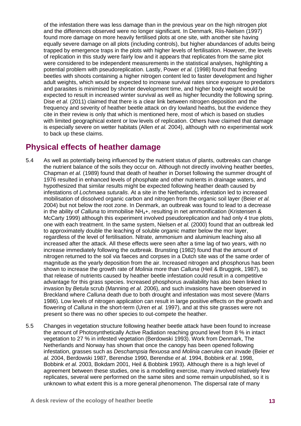of the infestation there was less damage than in the previous year on the high nitrogen plot and the differences observed were no longer significant. In Denmark, Riis-Nielsen (1997) found more damage on more heavily fertilised plots at one site, with another site having equally severe damage on all plots (including controls), but higher abundances of adults being trapped by emergence traps in the plots with higher levels of fertilisation. However, the levels of replication in this study were fairly low and it appears that replicates from the same plot were considered to be independent measurements in the statistical analyses, highlighting a potential problem with pseudoreplication. Lastly, Power *et al.* (1998) found that feeding beetles with shoots containing a higher nitrogen content led to faster development and higher adult weights, which would be expected to increase survival rates since exposure to predators and parasites is minimised by shorter development time, and higher body weight would be expected to result in increased winter survival as well as higher fecundity the following spring. Dise *et al.* (2011) claimed that there is a clear link between nitrogen deposition and the frequency and severity of heather beetle attack on dry lowland heaths, but the evidence they cite in their review is only that which is mentioned here, most of which is based on studies with limited geographical extent or low levels of replication. Others have claimed that damage is especially severe on wetter habitats (Allen *et al.* 2004), although with no experimental work to back up these claims.

### **Physical effects of heather damage**

- 5.4 As well as potentially being influenced by the nutrient status of plants, outbreaks can change the nutrient balance of the soils they occur on. Although not directly involving heather beetles, Chapman *et al.* (1989) found that death of heather in Dorset following the summer drought of 1976 resulted in enhanced levels of phosphate and other nutrients in drainage waters, and hypothesized that similar results might be expected following heather death caused by infestations of *Lochmaea suturalis*. At a site in the Netherlands, infestation led to increased mobilisation of dissolved organic carbon and nitrogen from the organic soil layer (Beier *et al.* 2004) but not below the root zone. In Denmark, an outbreak was found to lead to a decrease in the ability of *Calluna* to immobilise NH<sub>4</sub>+, resulting in net ammonification (Kristensen & McCarty 1999) although this experiment involved pseudoreplication and had only 4 true plots, one with each treatment. In the same system, Nielsen *et al.* (2000) found that an outbreak led to approximately double the leaching of soluble organic matter below the mor layer, regardless of the level of fertilisation. Nitrate, ammonium and aluminium leaching also all increased after the attack. All these effects were seen after a time lag of two years, with no increase immediately following the outbreak. Brunsting (1982) found that the amount of nitrogen returned to the soil via faeces and corpses in a Dutch site was of the same order of magnitude as the yearly deposition from the air. Increased nitrogen and phosphorus has been shown to increase the growth rate of *Molinia* more than *Calluna* (Heil & Bruggink, 1987), so that release of nutrients caused by heather beetle infestation could result in a competitive advantage for this grass species. Increased phosphorus availability has also been linked to invasion by *Betula* scrub (Manning *et al.* 2006), and such invasions have been observed in Breckland where *Calluna* death due to both drought and infestation was most severe (Marrs 1986). Low levels of nitrogen application can result in large positive effects on the growth and flowering of *Calluna* in the short-term (Uren *et al.* 1997), and at this site grasses were not present so there was no other species to out-compete the heather.
- 5.5 Changes in vegetation structure following heather beetle attack have been found to increase the amount of Photosynthetically Active Radiation reaching ground level from 8 % in intact vegetation to 27 % in infested vegetation (Berdowski 1993). Work from Denmark, The Netherlands and Norway has shown that once the canopy has been opened following infestation, grasses such as *Deschampsia flexuosa* and *Molinia caerulea* can invade (Beier *et al.* 2004, Berdowski 1987, Berendse 1990, Berendse *et al.* 1994, Bobbink *et al.* 1998, Bobbink *et al.* 2003, Bokdam 2001, Heil & Bobbink 1993). Although there is a high level of agreement between these studies, one is a modelling exercise, many involved relatively few replicates, several were performed on the same sites and some remain unpublished, so it is unknown to what extent this is a more general phenomenon. The dispersal rate of many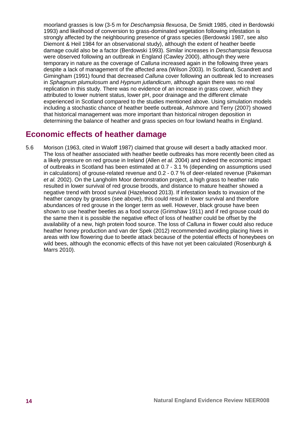moorland grasses is low (3-5 m for *Deschampsia flexuosa*, De Smidt 1985, cited in Berdowski 1993) and likelihood of conversion to grass-dominated vegetation following infestation is strongly affected by the neighbouring presence of grass species (Berdowski 1987, see also Diemont & Heil 1984 for an observational study), although the extent of heather beetle damage could also be a factor (Berdowski 1993). Similar increases in *Deschampsia flexuosa* were observed following an outbreak in England (Cawley 2000), although they were temporary in nature as the coverage of *Calluna* increased again in the following three years despite a lack of management of the affected area (Wilson 2003). In Scotland, Scandrett and Gimingham (1991) found that decreased *Calluna* cover following an outbreak led to increases in *Sphagnum plumulosum* and *Hypnum jutlandicum*, although again there was no real replication in this study. There was no evidence of an increase in grass cover, which they attributed to lower nutrient status, lower pH, poor drainage and the different climate experienced in Scotland compared to the studies mentioned above. Using simulation models including a stochastic chance of heather beetle outbreak, Ashmore and Terry (2007) showed that historical management was more important than historical nitrogen deposition in determining the balance of heather and grass species on four lowland heaths in England.

### **Economic effects of heather damage**

5.6 Morison (1963, cited in Waloff 1987) claimed that grouse will desert a badly attacked moor. The loss of heather associated with heather beetle outbreaks has more recently been cited as a likely pressure on red grouse in Ireland (Allen *et al.* 2004) and indeed the economic impact of outbreaks in Scotland has been estimated at 0.7 - 3.1 % (depending on assumptions used in calculations) of grouse-related revenue and 0.2 - 0.7 % of deer-related revenue (Pakeman *et al.* 2002). On the Langholm Moor demonstration project, a high grass to heather ratio resulted in lower survival of red grouse broods, and distance to mature heather showed a negative trend with brood survival (Hazelwood 2013). If infestation leads to invasion of the heather canopy by grasses (see above), this could result in lower survival and therefore abundances of red grouse in the longer term as well. However, black grouse have been shown to use heather beetles as a food source (Grimshaw 1911) and if red grouse could do the same then it is possible the negative effect of loss of heather could be offset by the availability of a new, high protein food source. The loss of *Calluna* in flower could also reduce heather honey production and van der Spek (2012) recommended avoiding placing hives in areas with low flowering due to beetle attack because of the potential effects of honeybees on wild bees, although the economic effects of this have not yet been calculated (Rosenburgh & Marrs 2010).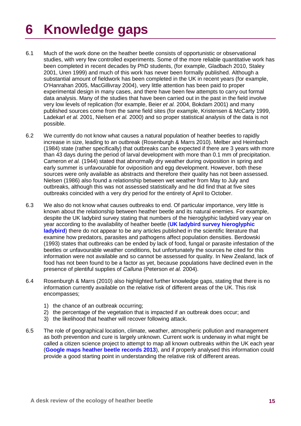# **6 Knowledge gaps**

- 6.1 Much of the work done on the heather beetle consists of opportunistic or observational studies, with very few controlled experiments. Some of the more reliable quantitative work has been completed in recent decades by PhD students, (for example, Gladbach 2010, Staley 2001, Uren 1999) and much of this work has never been formally published. Although a substantial amount of fieldwork has been completed in the UK in recent years (for example, O'Hanrahan 2005, MacGillivray 2004), very little attention has been paid to proper experimental design in many cases, and there have been few attempts to carry out formal data analysis. Many of the studies that have been carried out in the past in the field involve very low levels of replication (for example, Beier *et al.* 2004, Bokdam 2001) and many published sources come from the same field sites (for example, Kristensen & McCarty 1999, Ladekarl *et al.* 2001, Nielsen *et al.* 2000) and so proper statistical analysis of the data is not possible.
- 6.2 We currently do not know what causes a natural population of heather beetles to rapidly increase in size, leading to an outbreak (Rosenburgh & Marrs 2010). Melber and Heimbach (1984) state (rather specifically) that outbreaks can be expected if there are 3 years with more than 43 days during the period of larval development with more than 0.1 mm of precipitation. Cameron *et al.* (1944) stated that abnormally dry weather during oviposition in spring and early summer is unfavourable for oviposition and egg development. However, both these sources were only available as abstracts and therefore their quality has not been assessed. Nielsen (1986) also found a relationship between wet weather from May to July and outbreaks, although this was not assessed statistically and he did find that at five sites outbreaks coincided with a very dry period for the entirety of April to October.
- 6.3 We also do not know what causes outbreaks to end. Of particular importance, very little is known about the relationship between heather beetle and its natural enemies. For example, despite the UK ladybird survey stating that numbers of the hieroglyphic ladybird vary year on year according to the availability of heather beetle (**[UK ladybird survey hieroglyphic](http://www.ladybird-survey.org/species_desc.aspx?species=6455%2059602)  [ladybird](http://www.ladybird-survey.org/species_desc.aspx?species=6455%2059602)**) there do not appear to be any articles published in the scientific literature that examine how predators, parasites and pathogens affect population densities. Berdowski (1993) states that outbreaks can be ended by lack of food, fungal or parasite infestation of the beetles or unfavourable weather conditions, but unfortunately the sources he cited for this information were not available and so cannot be assessed for quality. In New Zealand, lack of food has not been found to be a factor as yet, because populations have declined even in the presence of plentiful supplies of *Calluna* (Peterson *et al.* 2004).
- 6.4 Rosenburgh & Marrs (2010) also highlighted further knowledge gaps, stating that there is no information currently available on the relative risk of different areas of the UK. This risk encompasses;
	- 1) the chance of an outbreak occurring;
	- 2) the percentage of the vegetation that is impacted if an outbreak does occur; and
	- 3) the likelihood that heather will recover following attack.
- 6.5 The role of geographical location, climate, weather, atmospheric pollution and management as both prevention and cure is largely unknown. Current work is underway in what might be called a citizen science project to attempt to map all known outbreaks within the UK each year (**[Google maps heather beetle records 2013](https://maps.google.co.uk/maps/ms?ie=UTF8&oe=UTF8&msa=0&msid=202067322689960837063.0004da1538a718d7acd23)**), and if properly analysed this information could provide a good starting point in understanding the relative risk of different areas.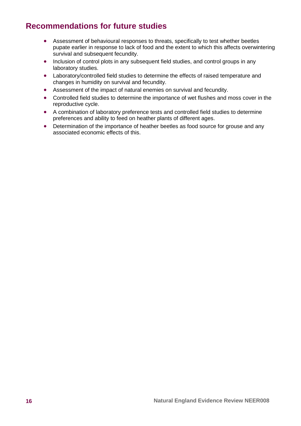## **Recommendations for future studies**

- Assessment of behavioural responses to threats, specifically to test whether beetles pupate earlier in response to lack of food and the extent to which this affects overwintering survival and subsequent fecundity.
- Inclusion of control plots in any subsequent field studies, and control groups in any laboratory studies.
- Laboratory/controlled field studies to determine the effects of raised temperature and changes in humidity on survival and fecundity.
- Assessment of the impact of natural enemies on survival and fecundity.
- Controlled field studies to determine the importance of wet flushes and moss cover in the reproductive cycle.
- A combination of laboratory preference tests and controlled field studies to determine preferences and ability to feed on heather plants of different ages.
- Determination of the importance of heather beetles as food source for grouse and any associated economic effects of this.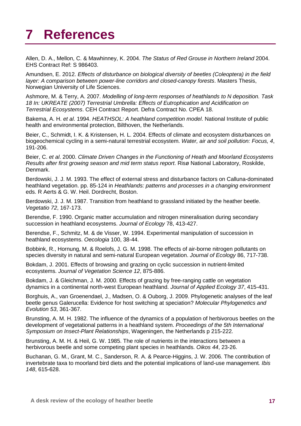## **7 References**

Allen, D. A., Mellon, C. & Mawhinney, K. 2004. *The Status of Red Grouse in Northern Ireland* 2004. EHS Contract Ref: S 986403.

Amundsen, E. 2012. *Effects of disturbance on biological diversity of beetles (Coleoptera) in the field layer: A comparison between power-line corridors and closed-canopy forests*. Masters Thesis, Norwegian University of Life Sciences.

Ashmore, M. & Terry, A. 2007. *Modelling of long-term responses of heathlands to N deposition. Task 18 In: UKREATE (2007) Terrestrial Umbrella: Effects of Eutrophication and Acidification on Terrestrial Ecosystems*. CEH Contract Report. Defra Contract No. CPEA 18.

Bakema, A. H. *et al*. 1994. *HEATHSOL: A heathland competition model*. National Institute of public health and environmental protection, Bilthoven, the Netherlands.

Beier, C., Schmidt, I. K. & Kristensen, H. L. 2004. Effects of climate and ecosystem disturbances on biogeochemical cycling in a semi-natural terrestrial ecosystem. *Water, air and soil pollution: Focus, 4*, 191-206.

Beier, C. *et al*. 2000. *Climate Driven Changes in the Functioning of Heath and Moorland Ecosystems Results after first growing season and mid term status report*. Risø National Laboratory, Roskilde, Denmark.

Berdowski, J. J. M. 1993. The effect of external stress and disturbance factors on Calluna-dominated heathland vegetation. pp. 85-124 in *Heathlands: patterns and processes in a changing environment* eds. R Aerts & G. W. Heil. Dordrecht, Boston.

Berdowski, J. J. M. 1987. Transition from heathland to grassland initiated by the heather beetle. *Vegetatio 72*, 167-173.

Berendse, F. 1990. Organic matter accumulation and nitrogen mineralisation during secondary succession in heathland ecosystems. *Journal of Ecology* 78, 413-427.

Berendse, F., Schmitz, M. & de Visser, W. 1994. Experimental manipulation of succession in heathland ecosystems. *Oecologia* 100, 38-44.

Bobbink, R., Hornung, M. & Roelofs, J. G. M. 1998. The effects of air-borne nitrogen pollutants on species diversity in natural and semi-natural European vegetation. *Journal of Ecology* 86, 717-738.

Bokdam, J. 2001. Effects of browsing and grazing on cyclic succession in nutrient-limited ecosystems. *Journal of Vegetation Science 12*, 875-886.

Bokdam, J. & Gleichman, J. M. 2000. Effects of grazing by free-ranging cattle on vegetation dynamics in a continental north-west European heathland. *Journal of Applied Ecology 37*, 415-431.

Borghuis, A., van Groenendael, J., Madsen, O. & Ouborg, J. 2009. Phylogenetic analyses of the leaf beetle genus Galerucella: Evidence for host switching at speciation? *Molecular Phylogenetics and Evolution 53*, 361-367.

Brunsting, A. M. H. 1982. The influence of the dynamics of a population of herbivorous beetles on the development of vegetational patterns in a heathland system. *Proceedings of the 5th International Symposium on Insect-Plant Relationships*, Wageningen, the Netherlands p 215-222.

Brunsting, A. M. H. & Heil, G. W. 1985. The role of nutrients in the interactions between a herbivorous beetle and some competing plant species in heathlands. *Oikos 44*, 23-26.

Buchanan, G. M., Grant, M. C., Sanderson, R. A. & Pearce-Higgins, J. W. 2006. The contribution of invertebrate taxa to moorland bird diets and the potential implications of land-use management*. Ibis 148*, 615-628.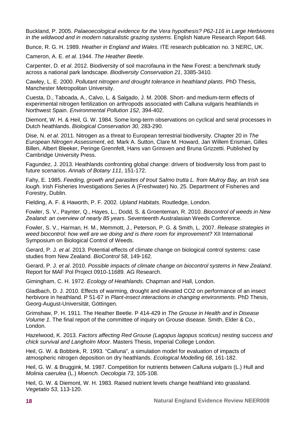Buckland, P. 2005. *Palaeoecological evidence for the Vera hypothesis? P62-116 in Large Herbivores in the wildwood and in modern naturalistic grazing systems*. English Nature Research Report 648.

Bunce, R. G. H. 1989. *Heather in England and Wales*. ITE research publication no. 3 NERC, UK.

Cameron, A. E. *et al*. 1944. *The Heather Beetle*.

Carpenter, D. *et al*. 2012. Biodiversity of soil macrofauna in the New Forest: a benchmark study across a national park landscape. *Biodiversity Conservation 21*, 3385-3410.

Cawley, L. E. 2000. *Pollutant nitrogen and drought tolerance in heathland plants*. PhD Thesis, Manchester Metropolitan University.

Cuesta, D., Taboada, A., Calvo, L. & Salgado, J. M. 2008. Short- and medium-term effects of experimental nitrogen fertilization on arthropods associated with Calluna vulgaris heathlands in Northwest Spain. *Environmental Pollution 152*, 394-402.

Diemont, W. H. & Heil, G. W. 1984. Some long-term observations on cyclical and seral processes in Dutch heathlands. *Biological Conservation 30*, 283-290.

Dise, N. *et al*. 2011. Nitrogen as a threat to European terrestrial biodiversity. Chapter 20 in *The European Nitrogen Assessment*, ed. Mark A. Sutton, Clare M. Howard, Jan Willem Erisman, Gilles Billen, Albert Bleeker, Peringe Grennfelt, Hans van Grinsven and Bruna Grizzetti. Published by Cambridge University Press.

Fagundez, J. 2013. Heathlands confronting global change: drivers of biodiversity loss from past to future scenarios. *Annals of Botany 111*, 151-172.

Fahy, E. 1985. *Feeding, growth and parasites of trout Salmo trutta L. from Mulroy Bay, an Irish sea lough.* Irish Fisheries Investigations Series A (Freshwater) No. 25. Department of Fisheries and Forestry, Dublin.

Fielding, A. F. & Haworth, P. F. 2002. *Upland Habitats*. Routledge, London.

Fowler, S. V., Paynter, Q., Hayes, L., Dodd, S. & Groenteman, R. 2010. *Biocontrol of weeds in New Zealand: an overview of nearly 85 years*. Seventeenth Australasian Weeds Conference.

Fowler, S. V., Harman, H. M., Memmott, J., Peterson, P. G. & Smith, L. 2007. *Release strategies in weed biocontrol: how well are we doing and is there room for improvement?* XII International Symposium on Biological Control of Weeds.

Gerard, P. J. *et al*. 2013. Potential effects of climate change on biological control systems: case studies from New Zealand. *BioControl 58*, 149-162.

Gerard, P. J. *et al*. 2010. *Possible impacts of climate change on biocontrol systems in New Zealand*. Report for MAF Pol Project 0910-11689. AG Research.

Gimingham, C. H. 1972. *Ecology of Heathlands*. Chapman and Hall, London.

Gladbach, D. J. 2010. Effects of warming, drought and elevated CO2 on performance of an insect herbivore in heathland. P 51-67 in *Plant-insect interactions in changing environments*. PhD Thesis, Georg-August-Universität, Göttingen.

Grimshaw, P. H. 1911. The Heather Beetle. P 414-429 in *The Grouse in Health and in Disease Volume 1*. The final report of the committee of inquiry on Grouse disease. Smith, Elder & Co., London.

Hazelwood, K. 2013. *Factors affecting Red Grouse (Lagopus lagopus scoticus) nesting success and chick survival and Langholm Moor*. Masters Thesis, Imperial College London.

Heil, G. W. & Bobbink, R. 1993. "Calluna", a simulation model for evaluation of impacts of atmospheric nitrogen deposition on dry heathlands. *Ecological Modelling 68*, 161-182.

Heil, G. W. & Bruggink, M. 1987. Competition for nutrients between *Calluna vulgaris* (L.) Hull and *Molinia caerulea* (L.) *Moench. Oecologia 73*, 105-108.

Heil, G. W. & Diemont, W. H. 1983. Raised nutrient levels change heathland into grassland. *Vegetatio 53*, 113-120.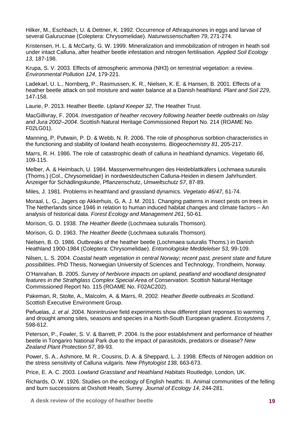Hilker, M., Eschbach, U. & Dettner, K. 1992. Occurrence of Athraquinones in eggs and larvae of several Galurucinae (Coleptera: Chrysomelidae). *Naturwissenschaften 79*, 271-274.

Kristensen, H. L. & McCarty, G. W. 1999. Mineralization and immobilization of nitrogen in heath soil under intact Calluna, after heather beetle infestation and nitrogen fertilisation. *Applied Soil Ecology 13*, 187-198.

Krupa, S. V. 2003. Effects of atmospheric ammonia (NH3) on terrestrial vegetation: a review. *Environmental Pollution 124*, 179-221.

Ladekarl, U. L., Nornberg, P., Rasmussen, K. R., Nielsen, K. E. & Hansen, B. 2001. Effects of a heather beetle attack on soil moisture and water balance at a Danish heathland. *Plant and Soil 229*, 147-158.

Laurie, P. 2013. Heather Beetle. *Upland Keeper 32*, The Heather Trust.

MacGillivray, F. 2004. *Investigation of heather recovery following heather beetle outbreaks on Islay and Jura 2002–2004*. Scottish Natural Heritage Commissioned Report No. 214 (ROAME No. F02LG01).

Manning, P, Putwain, P. D. & Webb, N. R. 2006. The role of phosphorus sorbtion characteristics in the functioning and stability of lowland heath ecosystems. *Biogeochemistry 81*, 205-217.

Marrs, R. H. 1986. The role of catastrophic death of calluna in heathland dynamics. *Vegetatio 66*, 109-115.

Melber, A. & Heimbach, U. 1984. Massenvermehrungen des Heideblattkäfers Lochmaea suturalis (Thoms.) (Col., Chrysomelidae) in nordwestdeutschen Calluna-Heiden in diesem Jahrhundert. Anzeiger für Schädlingskunde, Pflanzenschutz, *Umweltschutz 57*, 87-89.

Miles, J. 1981. Problems in heathland and grassland dynamics. *Vegetatio 46/47*, 61-74.

Moraal, L. G., Jagers op Akkerhuis, G, A. J. M. 2011. Changing patterns in insect pests on trees in The Netherlands since 1946 in relation to human induced habitat changes and climate factors – An analysis of historical data. *Forest Ecology and Management 261*, 50-61.

Morison, G. D. 1938. *The Heather Beetle* (Lochmaea suturalis Thomson).

Morison, G. D. 1963. *The Heather Beetle* (Lochmaea suturalis Thomson).

Nielsen, B. O. 1986. Outbreaks of the heather beetle (Lochmaea suturalis Thoms.) in Danish Heathland 1900-1984 (Coleptera: Chrysomelidae). *Entomologiske Meddelelser 53*, 99-109.

Nilsen, L. S. 2004. *Coastal heath vegetation in central Norway; recent past, present state and future possibilities*. PhD Thesis, Norwegian University of Sciences and Technology, Trondheim, Norway.

O'Hanrahan, B. 2005. *Survey of herbivore impacts on upland, peatland and woodland designated features in the Strathglass Complex Special Area of Conservation*. Scottish Natural Heritage Commissioned Report No. 115 (ROAME No. F02AC202).

Pakeman, R, Stolte, A., Malcolm, A. & Marrs, R. 2002. *Heather Beetle outbreaks in Scotland*. Scottish Executive Environment Group.

Peňuelas, J. *et al*. 2004. Nonintrusive field experiments show different plant reponses to warming and drought among sites, seasons and species in a North-South European gradient. *Ecosystems 7*, 598-612.

Peterson, P., Fowler, S. V. & Barrett, P. 2004. Is the poor establishment and performance of heather beetle in Tongariro National Park due to the impact of parasitoids, predators or disease? *New Zealand Plant Protection 57*, 89-93.

Power, S. A., Ashmore, M. R., Cousins, D. A. & Sheppard, L. J. 1998. Effects of Nitrogen addition on the stress sensitivity of Calluna vulgaris. *New Phytologist 138*, 663-673.

Price, E. A. C. 2003. *Lowland Grassland and Heathland Habitats* Routledge, London, UK.

Richards, O. W. 1926. Studies on the ecology of English heaths: III. Animal communities of the felling and burn successions at Oxshott Heath, Surrey. *Journal of Ecology 14*, 244-281.

**A desk review of the ecology of heather beetle 19**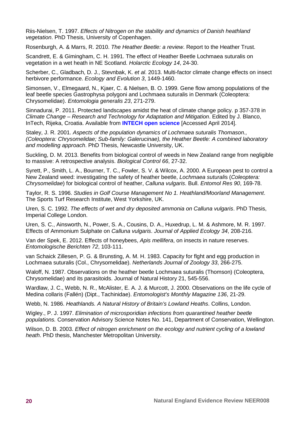Riis-Nielsen, T. 1997. *Effects of Nitrogen on the stability and dynamics of Danish heathland vegetation*. PhD Thesis, University of Copenhagen.

Rosenburgh, A. & Marrs, R. 2010. *The Heather Beetle: a review*. Report to the Heather Trust.

Scandrett, E. & Gimingham, C. H. 1991. The effect of Heather Beetle Lochmaea suturalis on vegetation in a wet heath in NE Scotland. *Holarctic Ecology 14*, 24-30.

Scherber, C., Gladbach, D. J., Stevnbak, K. *et al*. 2013. Multi-factor climate change effects on insect herbivore performance. *Ecology and Evolution 3*, 1449-1460.

Simonsen, V., Elmegaard, N., Kjaer, C. & Nielsen, B. O. 1999. Gene flow among populations of the leaf beetle species Gastrophysa polygoni and Lochmaea suturalis in Denmark (Coleoptera: Chrysomelidae). *Entomologia generalis 23*, 271-279.

Sinnadurai, P. 2011. Protected landscapes amidst the heat of climate change policy. p 357-378 in *Climate Change – Research and Technology for Adaptation and Mitigation*. Edited by J. Blanco, InTech, Rijeka, Croatia. Available from **[INTECH open science](http://www.intechopen.com/books/climate-change-research-and-technology-for-adaptation-and-mitigation/protected-landscapes-amidst-the-heat-of-climate-change-policy)** [Accessed April 2014].

Staley, J. R. 2001. *Aspects of the population dynamics of Lochmaea suturalis Thomason., (Coleoptera: Chrysomelidae; Sub-family: Galerucinae), the Heather Beetle: A combined laboratory and modelling approach*. PhD Thesis, Newcastle University, UK.

Suckling, D. M. 2013. Benefits from biological control of weeds in New Zealand range from negligible to massive: A retrospective analysis. *Biological Control 66*, 27-32.

Syrett, P., Smith, L. A., Bourner, T. C., Fowler, S. V. & Wilcox, A. 2000. A European pest to control a New Zealand weed: investigating the safety of heather beetle, *Lochmaea suturali*s (*Coleoptera: Chrysomelidae*) for biological control of heather, *Calluna vulgaris*. Bull. *Entomol Res 90*, 169-78.

Taylor, R. S. 1996. *Studies in Golf Course Management No 1. Heathland/Moorland Management*. The Sports Turf Research Institute, West Yorkshire, UK.

Uren, S. C. 1992. *The effects of wet and dry deposited ammonia on Calluna vulgaris*. PhD Thesis, Imperial College London.

Uren, S. C., Ainsworth, N., Power, S. A., Cousins, D. A., Huxedrup, L. M. & Ashmore, M. R. 1997. Effects of Ammonium Sulphate on *Calluna vulgaris*. *Journal of Applied Ecology 34*, 208-216.

Van der Spek, E. 2012. Effects of honeybees, *Apis mellifera*, on insects in nature reserves. *Entomologische Berichten 72*, 103-111.

van Schaick Zillesen, P. G. & Brunsting, A. M. H. 1983. Capacity for flght and egg production in Lochmaea suturalis (Col., Chrysomelidae). *Netherlands Journal of Zoology 33*, 266-275.

Waloff, N. 1987. Observations on the heather beetle Lochmaea suturalis (Thomson) (Coleoptera, Chrysomelidae) and its parasitoids. Journal of Natural History 21, 545-556.

Wardlaw, J. C., Webb, N. R., McAlister, E. A. J. & Murcott, J. 2000. Observations on the life cycle of Medina collaris (Fallén) (Dipt., Tachinidae). *Entomologist's Monthly Magazine 136*, 21-29.

Webb, N. 1986. *Heathlands. A Natural History of Britain's Lowland Heaths*. Collins, London.

Wigley., P. J. 1997. *Elimination of microsporidian infections from quarantined heather beetle populations.* Conservation Advisory Science Notes No. 141, Department of Conservation, Wellington.

Wilson, D. B. 2003. *Effect of nitrogen enrichment on the ecology and nutrient cycling of a lowland heath*. PhD thesis, Manchester Metropolitan University.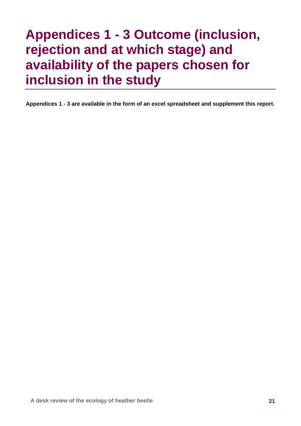## **Appendices 1 - 3 Outcome (inclusion, rejection and at which stage) and availability of the papers chosen for inclusion in the study**

**Appendices 1 - 3 are available in the form of an excel spreadsheet and supplement this report.**